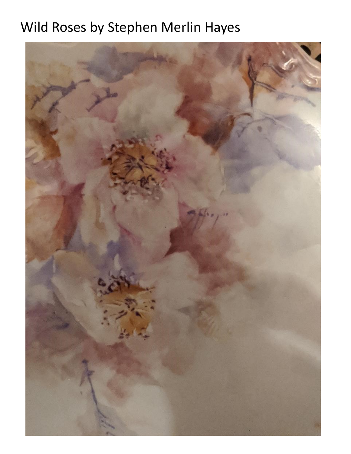# Wild Roses by Stephen Merlin Hayes